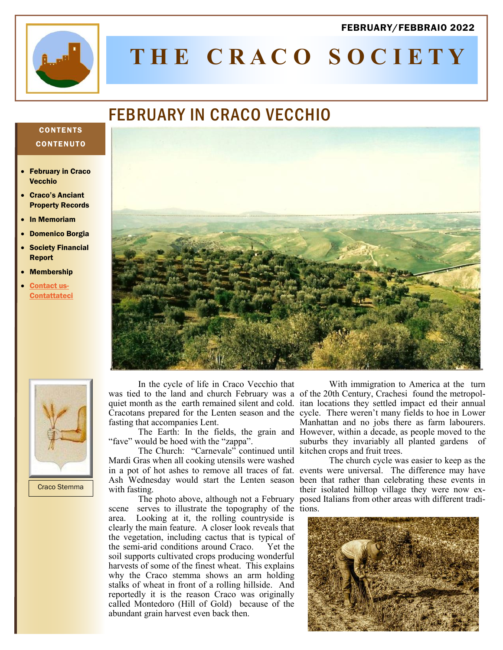#### FEBRUARY/FEBBRAIO 2022



# **T H E C R A C O S O C I E T Y**

# FEBRUARY IN CRACO VECCHIO

### **CONTENTS CONTENUTO**

- **February in Craco** Vecchio
- Craco's Anciant Property Records
- In Memoriam
- Domenico Borgia
- **Society Financial** Report
- **Membership**
- [Contact us-](mailto:memberservices@thecracosociety.org)**[Contattateci](mailto:memberservices@thecracosociety.org)**





Craco Stemma

In the cycle of life in Craco Vecchio that was tied to the land and church February was a of the 20th Century, Crachesi found the metropolfasting that accompanies Lent.

"fave" would be hoed with the "zappa".

The Church: "Carnevale" continued until kitchen crops and fruit trees. Mardi Gras when all cooking utensils were washed in a pot of hot ashes to remove all traces of fat. events were universal. The difference may have Ash Wednesday would start the Lenten season been that rather than celebrating these events in with fasting.

scene serves to illustrate the topography of the tions. area. Looking at it, the rolling countryside is clearly the main feature. A closer look reveals that the vegetation, including cactus that is typical of the semi-arid conditions around Craco. Yet the soil supports cultivated crops producing wonderful harvests of some of the finest wheat. This explains why the Craco stemma shows an arm holding stalks of wheat in front of a rolling hillside. And reportedly it is the reason Craco was originally called Montedoro (Hill of Gold) because of the abundant grain harvest even back then.

quiet month as the earth remained silent and cold. itan locations they settled impact ed their annual Cracotans prepared for the Lenten season and the cycle. There weren't many fields to hoe in Lower The Earth: In the fields, the grain and However, within a decade, as people moved to the With immigration to America at the turn Manhattan and no jobs there as farm labourers. suburbs they invariably all planted gardens of

The photo above, although not a February posed Italians from other areas with different tradi-The church cycle was easier to keep as the their isolated hilltop village they were now ex-

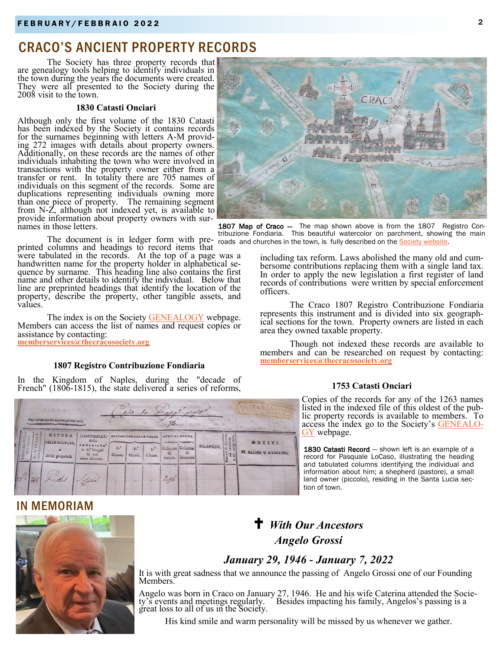# CRACO'S ANCIENT PROPERTY RECORDS

The Society has three property records that are genealogy tools helping to identify individuals in the town during the years the documents were created. They were all presented to the Society during the 2008 visit to the town.

#### **1830 Catasti Onciari**

Although only the first volume of the 1830 Catasti has been indexed by the Society it contains records for the surnames beginning with letters A-M providing 272 images with details about property owners. Additionally, on these records are the names of other individuals inhabiting the town who were involved in transactions with the property owner either from a transfer or rent. In totality there are 705 names of individuals on this segment of the records. Some are duplications representing individuals owning more than one piece of property. The remaining segment from N-Z, although not indexed yet, is available to provide information about property owners with surnames in those letters.

printed columns and headings to record items that

were tabulated in the records. At the top of a page was a handwritten name for the property holder in alphabetical sequence by surname. This heading line also contains the first name and other details to identify the individual. Below that line are preprinted headings that identify the location of the property, describe the property, other tangible assets, and values.

The index is on the Society [GENEALOGY](http://www.thecracosociety.org/1753CracoCatasti.pdf) webpage. Members can access the list of names and request copies or assistance by contacting: **[memberservices@thecracosociety.org](mailto:memberservices@thecracosociety.org)**

#### **1807 Registro Contribuzione Fondiaria**

In the Kingdom of Naples, during the "decade of French" (1806-1815), the state delivered a series of reforms,

| alo lo pala? post?<br>Burle as mores are estates provalentles. |                 |                                              |                                                                         |                                                                           |  |  |                                                                        |           |                  |                |                                  |  |  |  |
|----------------------------------------------------------------|-----------------|----------------------------------------------|-------------------------------------------------------------------------|---------------------------------------------------------------------------|--|--|------------------------------------------------------------------------|-----------|------------------|----------------|----------------------------------|--|--|--|
| NAZIONE<br>$\frac{5}{9}$                                       | OREINE<br>N. D' | NATURA<br>DELLE COLTURE,<br>delle proprietà. | DENOMINAZ.<br>delle<br>P E C<br>o de' luoghi<br>in cui<br>sono situate. | <b>ESTENSION</b><br>$4.5$<br>$x^4$<br>45<br>Classe.<br>Classe.<br>Classe. |  |  | <b><i>RENOITA MATTA</i></b><br>Colonna Colonna<br><b>di</b><br>carico. | discarico | <b>SILANCIO.</b> | 탈음<br>EEE<br>분 | MOTIVI<br>FI GARICO Q DIIGARICO, |  |  |  |
|                                                                |                 | 248 Xidat                                    | Laur                                                                    |                                                                           |  |  | 2.06                                                                   |           |                  |                |                                  |  |  |  |



The document is in ledger form with pre- roads and churches in the town, is fully described on the [Society website.](http://www.thecracosociety.org/MapofCraco1807.htm) 1807 Map of Craco - The map shown above is from the 1807 Registro Contribuzione Fondiaria. This beautiful watercolor on parchment, showing the main

> including tax reform. Laws abolished the many old and cumbersome contributions replacing them with a single land tax. In order to apply the new legislation a first register of land records of contributions were written by special enforcement officers.

> The Craco 1807 Registro Contribuzione Fondiaria represents this instrument and is divided into six geographical sections for the town. Property owners are listed in each area they owned taxable property.

> Though not indexed these records are available to members and can be researched on request by contacting: **[memberservices@thecracosociety.org](mailto:memberservices@thecracosociety.org)**

#### **1753 Catasti Onciari**

Copies of the records for any of the 1263 names listed in the indexed file of this oldest of the public property records is available to members. To access the index go to the Society's [GENEALO-](http://www.thecracosociety.org/1753CracoCatasti.pdf)[GY](http://www.thecracosociety.org/1753CracoCatasti.pdf) webpage.

1830 Catasti Record - shown left is an example of a record for Pasquale LoCaso, illustrating the heading and tabulated columns identifying the individual and information about him; a shepherd (pastore), a small land owner (piccolo), residing in the Santa Lucia section of town.

# IN MEMORIAM



# *With Our Ancestors Angelo Grossi*

# *January 29, 1946 - January 7, 2022*

It is with great sadness that we announce the passing of Angelo Grossi one of our Founding Members.

Angelo was born in Craco on January 27, 1946. He and his wife Caterina attended the Society's events and meetings regularly. Besides impacting his family, Angelos's passing is a ringero was some in structure on standar<br>ty's events and meetings regularly.<br>great loss to all of us in the Society.

His kind smile and warm personality will be missed by us whenever we gather.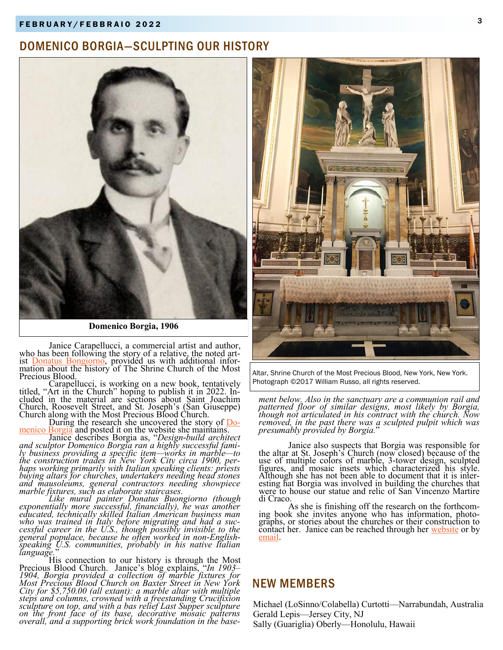# 3 F E B R U A R Y / F E B B R A I O 2 0 2 2

# DOMENICO BORGIA—SCULPTING OUR HISTORY



**Domenico Borgia, 1906**

Janice Carapellucci, a commercial artist and author, who has been following the story of a relative, the noted artist **Donatus Bongiorno**, provided us with additional information about the history of The Shrine Church of the Most Precious Blood.

Carapellucci, is working on a new book, tentatively titled, "Art in the Church" hoping to publish it in 2022. Included in the material are sections about Saint Joachim Church, Roosevelt Street, and St. Joseph's (San Giuseppe) Church along with the Most Precious Blood Church.

During the research she uncovered the story of [Do](https://donatusbuongiorno.com/update-domenico-borgia-architect-successful-marble-trades-construction-entrepreneur/)[menico Borgia](https://donatusbuongiorno.com/update-domenico-borgia-architect-successful-marble-trades-construction-entrepreneur/) and posted it on the website she maintains.

Janice describes Borgia as, "*Design-build architect and sculptor Domenico Borgia ran a highly successful family business providing a specific item—works in marble—to the construction trades in New York City circa 1900, perhaps working primarily with Italian speaking clients: priests buying altars for churches, undertakers needing head stones and mausoleums, general contractors needing showpiece marble fixtures, such as elaborate staircases.*

*Like mural painter Donatus Buongiorno (though exponentially more successful, financially), he was another educated, technically skilled Italian American business man who was trained in Italy before migrating and had a successful career in the U.S., though possibly invisible to the general populace, because he often worked in non-Englishspeaking U.S. communities, probably in his native Italian language.*"

His connection to our history is through the Most Precious Blood Church. Janice's blog explains, "*In 1903– 1904, Borgia provided a collection of marble fixtures for Most Precious Blood Church on Baxter Street in New York City for \$5,750.00 (all extant): a marble altar with multiple steps and columns, crowned with a freestanding Crucifixion sculpture on top, and with a bas relief Last Supper sculpture on the front face of its base, decorative mosaic patterns overall, and a supporting brick work foundation in the base-*



Altar, Shrine Church of the Most Precious Blood, New York, New York. Photograph ©2017 William Russo, all rights reserved.

*ment below. Also in the sanctuary are a communion rail and patterned floor of similar designs, most likely by Borgia, though not articulated in his contract with the church. Now removed, in the past there was a sculpted pulpit which was presumably provided by Borgia.*"

Janice also suspects that Borgia was responsible for the altar at St. Joseph's Church (now closed) because of the use of multiple colors of marble, 3-tower design, sculpted figures, and mosaic insets which characterized his style. Although she has not been able to document that it is interesting hat Borgia was involved in building the churches that were to house our statue and relic of San Vincenzo Martire di Craco.

As she is finishing off the research on the forthcoming book she invites anyone who has information, photographs, or stories about the churches or their construction to contact her. Janice can be reached through her [website](https://donatusbuongiorno.com/contact/) or by [email.](mailto:janice@feetonthegroundnyc.com%20%3cjanice@feetonthegroundnyc.com%3e;)

## NEW MEMBERS

Michael (LoSinno/Colabella) Curtotti—Narrabundah, Australia Gerald Lepis—Jersey City, NJ Sally (Guariglia) Oberly—Honolulu, Hawaii